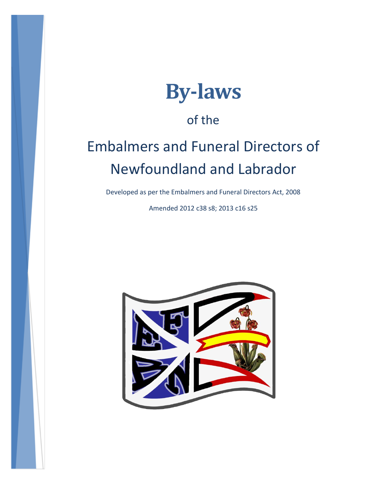

## of the

# Embalmers and Funeral Directors of Newfoundland and Labrador

Developed as per the Embalmers and Funeral Directors Act, 2008

Amended 2012 c38 s8; 2013 c16 s25

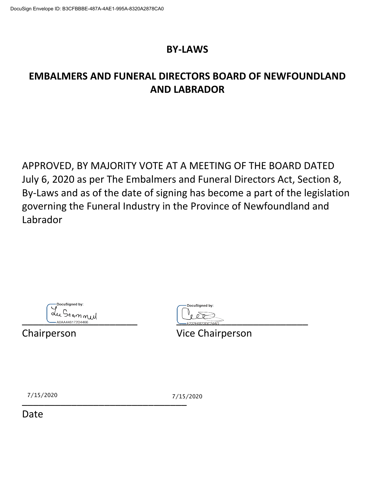#### **BY-LAWS**

### **EMBALMERS AND FUNERAL DIRECTORS BOARD OF NEWFOUNDLAND AND LABRADOR**

APPROVED, BY MAJORITY VOTE AT A MEETING OF THE BOARD DATED July 6, 2020 as per The Embalmers and Funeral Directors Act, Section 8, By-Laws and as of the date of signing has become a part of the legislation governing the Funeral Industry in the Province of Newfoundland and Labrador

| DocuSigned by:  |
|-----------------|
|                 |
| Jeannul         |
| A0AA446172D4466 |

DocuSigned by:  $\frac{1}{2225256823DC24AD}$ 

Chairperson Vice Chairperson

 $^{1/15/2020}$   $^{1/15/2020}$   $^{1/15/2020}$ 

7/15/2020 7/15/2020

Date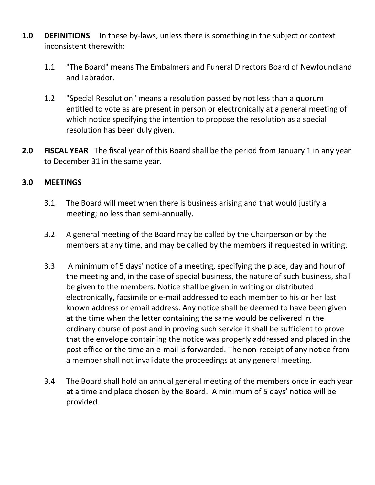- **1.0 DEFINITIONS** In these by-laws, unless there is something in the subject or context inconsistent therewith:
	- 1.1 "The Board" means The Embalmers and Funeral Directors Board of Newfoundland and Labrador.
	- 1.2 "Special Resolution" means a resolution passed by not less than a quorum entitled to vote as are present in person or electronically at a general meeting of which notice specifying the intention to propose the resolution as a special resolution has been duly given.
- **2.0 FISCAL YEAR** The fiscal year of this Board shall be the period from January 1 in any year to December 31 in the same year.

#### **3.0 MEETINGS**

- 3.1 The Board will meet when there is business arising and that would justify a meeting; no less than semi-annually.
- 3.2 A general meeting of the Board may be called by the Chairperson or by the members at any time, and may be called by the members if requested in writing.
- 3.3 A minimum of 5 days' notice of a meeting, specifying the place, day and hour of the meeting and, in the case of special business, the nature of such business, shall be given to the members. Notice shall be given in writing or distributed electronically, facsimile or e-mail addressed to each member to his or her last known address or email address. Any notice shall be deemed to have been given at the time when the letter containing the same would be delivered in the ordinary course of post and in proving such service it shall be sufficient to prove that the envelope containing the notice was properly addressed and placed in the post office or the time an e-mail is forwarded. The non-receipt of any notice from a member shall not invalidate the proceedings at any general meeting.
- 3.4 The Board shall hold an annual general meeting of the members once in each year at a time and place chosen by the Board. A minimum of 5 days' notice will be provided.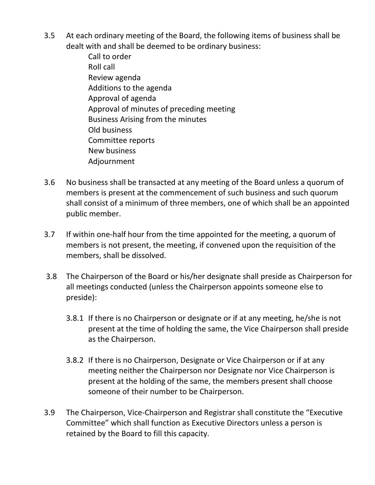- 3.5 At each ordinary meeting of the Board, the following items of business shall be dealt with and shall be deemed to be ordinary business:
	- Call to order Roll call Review agenda Additions to the agenda Approval of agenda Approval of minutes of preceding meeting Business Arising from the minutes Old business Committee reports New business Adjournment
- 3.6 No business shall be transacted at any meeting of the Board unless a quorum of members is present at the commencement of such business and such quorum shall consist of a minimum of three members, one of which shall be an appointed public member.
- 3.7 If within one-half hour from the time appointed for the meeting, a quorum of members is not present, the meeting, if convened upon the requisition of the members, shall be dissolved.
- 3.8 The Chairperson of the Board or his/her designate shall preside as Chairperson for all meetings conducted (unless the Chairperson appoints someone else to preside):
	- 3.8.1 If there is no Chairperson or designate or if at any meeting, he/she is not present at the time of holding the same, the Vice Chairperson shall preside as the Chairperson.
	- 3.8.2 If there is no Chairperson, Designate or Vice Chairperson or if at any meeting neither the Chairperson nor Designate nor Vice Chairperson is present at the holding of the same, the members present shall choose someone of their number to be Chairperson.
- 3.9 The Chairperson, Vice-Chairperson and Registrar shall constitute the "Executive Committee" which shall function as Executive Directors unless a person is retained by the Board to fill this capacity.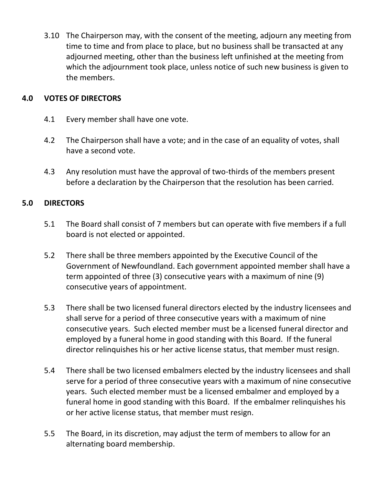3.10 The Chairperson may, with the consent of the meeting, adjourn any meeting from time to time and from place to place, but no business shall be transacted at any adjourned meeting, other than the business left unfinished at the meeting from which the adjournment took place, unless notice of such new business is given to the members.

#### **4.0 VOTES OF DIRECTORS**

- 4.1 Every member shall have one vote.
- 4.2 The Chairperson shall have a vote; and in the case of an equality of votes, shall have a second vote.
- 4.3 Any resolution must have the approval of two-thirds of the members present before a declaration by the Chairperson that the resolution has been carried.

#### **5.0 DIRECTORS**

- 5.1 The Board shall consist of 7 members but can operate with five members if a full board is not elected or appointed.
- 5.2 There shall be three members appointed by the Executive Council of the Government of Newfoundland. Each government appointed member shall have a term appointed of three (3) consecutive years with a maximum of nine (9) consecutive years of appointment.
- 5.3 There shall be two licensed funeral directors elected by the industry licensees and shall serve for a period of three consecutive years with a maximum of nine consecutive years. Such elected member must be a licensed funeral director and employed by a funeral home in good standing with this Board. If the funeral director relinquishes his or her active license status, that member must resign.
- 5.4 There shall be two licensed embalmers elected by the industry licensees and shall serve for a period of three consecutive years with a maximum of nine consecutive years. Such elected member must be a licensed embalmer and employed by a funeral home in good standing with this Board. If the embalmer relinquishes his or her active license status, that member must resign.
- 5.5 The Board, in its discretion, may adjust the term of members to allow for an alternating board membership.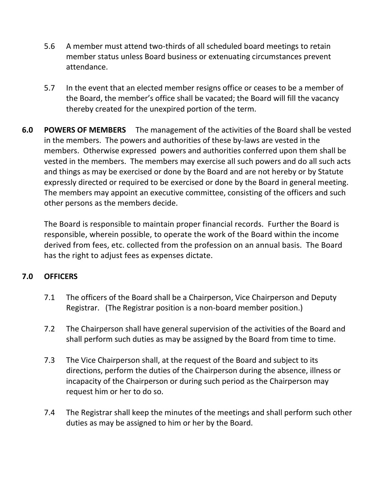- 5.6 A member must attend two-thirds of all scheduled board meetings to retain member status unless Board business or extenuating circumstances prevent attendance.
- 5.7 In the event that an elected member resigns office or ceases to be a member of the Board, the member's office shall be vacated; the Board will fill the vacancy thereby created for the unexpired portion of the term.
- **6.0 POWERS OF MEMBERS** The management of the activities of the Board shall be vested in the members. The powers and authorities of these by-laws are vested in the members. Otherwise expressed powers and authorities conferred upon them shall be vested in the members. The members may exercise all such powers and do all such acts and things as may be exercised or done by the Board and are not hereby or by Statute expressly directed or required to be exercised or done by the Board in general meeting. The members may appoint an executive committee, consisting of the officers and such other persons as the members decide.

The Board is responsible to maintain proper financial records. Further the Board is responsible, wherein possible, to operate the work of the Board within the income derived from fees, etc. collected from the profession on an annual basis. The Board has the right to adjust fees as expenses dictate.

#### **7.0 OFFICERS**

- 7.1 The officers of the Board shall be a Chairperson, Vice Chairperson and Deputy Registrar. (The Registrar position is a non-board member position.)
- 7.2 The Chairperson shall have general supervision of the activities of the Board and shall perform such duties as may be assigned by the Board from time to time.
- 7.3 The Vice Chairperson shall, at the request of the Board and subject to its directions, perform the duties of the Chairperson during the absence, illness or incapacity of the Chairperson or during such period as the Chairperson may request him or her to do so.
- 7.4 The Registrar shall keep the minutes of the meetings and shall perform such other duties as may be assigned to him or her by the Board.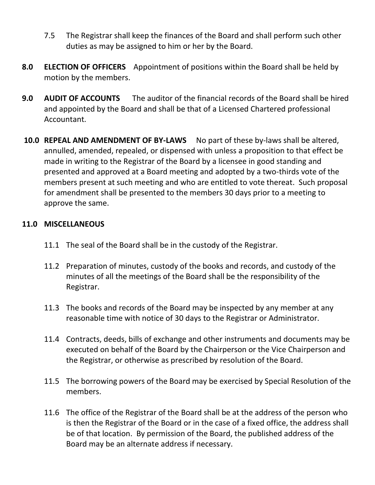- 7.5 The Registrar shall keep the finances of the Board and shall perform such other duties as may be assigned to him or her by the Board.
- **8.0 ELECTION OF OFFICERS** Appointment of positions within the Board shall be held by motion by the members.
- **9.0 AUDIT OF ACCOUNTS** The auditor of the financial records of the Board shall be hired and appointed by the Board and shall be that of a Licensed Chartered professional Accountant.
- **10.0 REPEAL AND AMENDMENT OF BY-LAWS** No part of these by-laws shall be altered, annulled, amended, repealed, or dispensed with unless a proposition to that effect be made in writing to the Registrar of the Board by a licensee in good standing and presented and approved at a Board meeting and adopted by a two-thirds vote of the members present at such meeting and who are entitled to vote thereat. Such proposal for amendment shall be presented to the members 30 days prior to a meeting to approve the same.

#### **11.0 MISCELLANEOUS**

- 11.1 The seal of the Board shall be in the custody of the Registrar.
- 11.2 Preparation of minutes, custody of the books and records, and custody of the minutes of all the meetings of the Board shall be the responsibility of the Registrar.
- 11.3 The books and records of the Board may be inspected by any member at any reasonable time with notice of 30 days to the Registrar or Administrator.
- 11.4 Contracts, deeds, bills of exchange and other instruments and documents may be executed on behalf of the Board by the Chairperson or the Vice Chairperson and the Registrar, or otherwise as prescribed by resolution of the Board.
- 11.5 The borrowing powers of the Board may be exercised by Special Resolution of the members.
- 11.6 The office of the Registrar of the Board shall be at the address of the person who is then the Registrar of the Board or in the case of a fixed office, the address shall be of that location. By permission of the Board, the published address of the Board may be an alternate address if necessary.